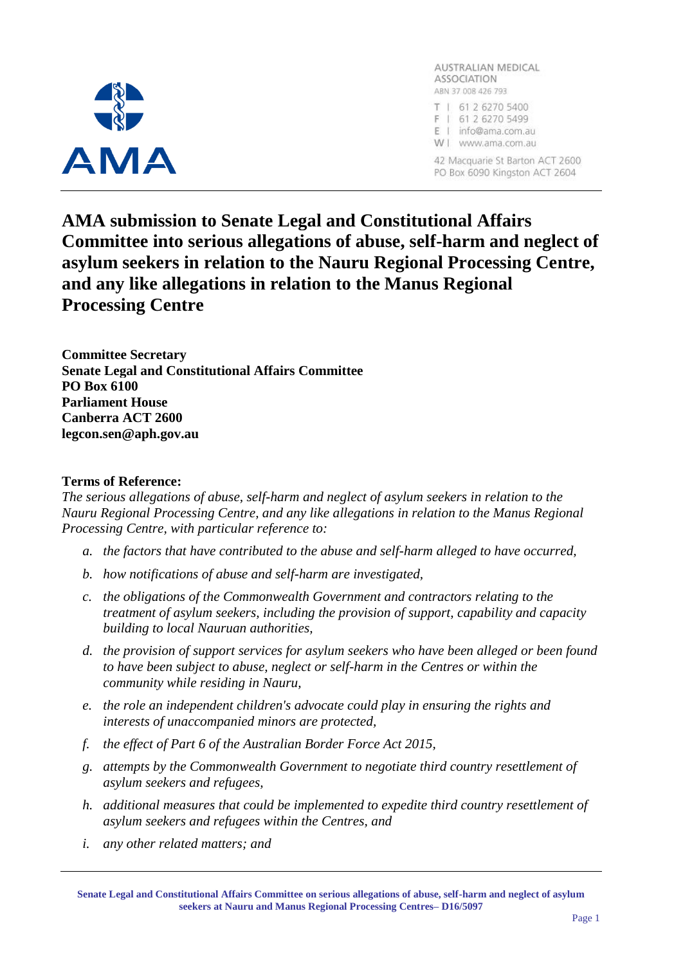

AUSTRALIAN MEDICAL **ASSOCIATION** ABN 37 008 426 793 T | 61 2 6270 5400 F | 61 2 6270 5499 E | info@ama.com.au W | www.ama.com.au 42 Macquarie St Barton ACT 2600 PO Box 6090 Kingston ACT 2604

**AMA submission to Senate Legal and Constitutional Affairs Committee into serious allegations of abuse, self-harm and neglect of asylum seekers in relation to the Nauru Regional Processing Centre, and any like allegations in relation to the Manus Regional Processing Centre**

**Committee Secretary Senate Legal and Constitutional Affairs Committee PO Box 6100 Parliament House Canberra ACT 2600 legcon.sen@aph.gov.au**

### **Terms of Reference:**

*The serious allegations of abuse, self-harm and neglect of asylum seekers in relation to the Nauru Regional Processing Centre, and any like allegations in relation to the Manus Regional Processing Centre, with particular reference to:*

- *a. the factors that have contributed to the abuse and self-harm alleged to have occurred,*
- *b. how notifications of abuse and self-harm are investigated,*
- *c. the obligations of the Commonwealth Government and contractors relating to the treatment of asylum seekers, including the provision of support, capability and capacity building to local Nauruan authorities,*
- *d. the provision of support services for asylum seekers who have been alleged or been found to have been subject to abuse, neglect or self-harm in the Centres or within the community while residing in Nauru,*
- *e. the role an independent children's advocate could play in ensuring the rights and interests of unaccompanied minors are protected,*
- *f. the effect of Part 6 of the Australian Border Force Act 2015,*
- *g. attempts by the Commonwealth Government to negotiate third country resettlement of asylum seekers and refugees,*
- *h. additional measures that could be implemented to expedite third country resettlement of asylum seekers and refugees within the Centres, and*
- *i. any other related matters; and*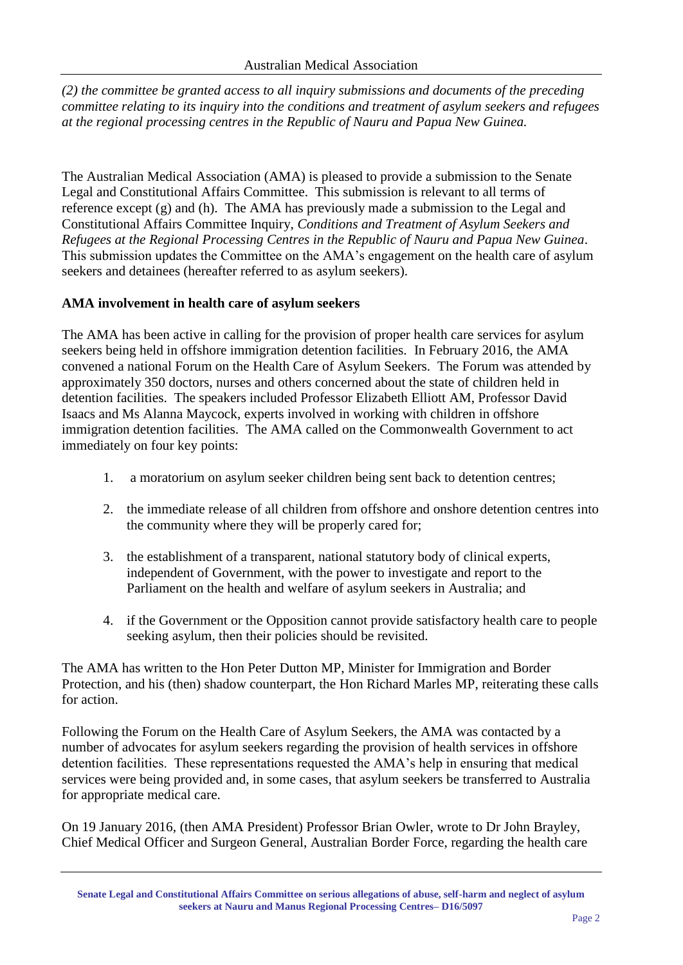*(2) the committee be granted access to all inquiry submissions and documents of the preceding committee relating to its inquiry into the conditions and treatment of asylum seekers and refugees at the regional processing centres in the Republic of Nauru and Papua New Guinea.*

The Australian Medical Association (AMA) is pleased to provide a submission to the Senate Legal and Constitutional Affairs Committee. This submission is relevant to all terms of reference except (g) and (h). The AMA has previously made a submission to the Legal and Constitutional Affairs Committee Inquiry, *Conditions and Treatment of Asylum Seekers and Refugees at the Regional Processing Centres in the Republic of Nauru and Papua New Guinea*. This submission updates the Committee on the AMA's engagement on the health care of asylum seekers and detainees (hereafter referred to as asylum seekers).

# **AMA involvement in health care of asylum seekers**

The AMA has been active in calling for the provision of proper health care services for asylum seekers being held in offshore immigration detention facilities. In February 2016, the AMA convened a national Forum on the Health Care of Asylum Seekers. The Forum was attended by approximately 350 doctors, nurses and others concerned about the state of children held in detention facilities. The speakers included Professor Elizabeth Elliott AM, Professor David Isaacs and Ms Alanna Maycock, experts involved in working with children in offshore immigration detention facilities. The AMA called on the Commonwealth Government to act immediately on four key points:

- 1. a moratorium on asylum seeker children being sent back to detention centres;
- 2. the immediate release of all children from offshore and onshore detention centres into the community where they will be properly cared for;
- 3. the establishment of a transparent, national statutory body of clinical experts, independent of Government, with the power to investigate and report to the Parliament on the health and welfare of asylum seekers in Australia; and
- 4. if the Government or the Opposition cannot provide satisfactory health care to people seeking asylum, then their policies should be revisited.

The AMA has written to the Hon Peter Dutton MP, Minister for Immigration and Border Protection, and his (then) shadow counterpart, the Hon Richard Marles MP, reiterating these calls for action.

Following the Forum on the Health Care of Asylum Seekers, the AMA was contacted by a number of advocates for asylum seekers regarding the provision of health services in offshore detention facilities. These representations requested the AMA's help in ensuring that medical services were being provided and, in some cases, that asylum seekers be transferred to Australia for appropriate medical care.

On 19 January 2016, (then AMA President) Professor Brian Owler, wrote to Dr John Brayley, Chief Medical Officer and Surgeon General, Australian Border Force, regarding the health care

**Senate Legal and Constitutional Affairs Committee on serious allegations of abuse, self-harm and neglect of asylum seekers at Nauru and Manus Regional Processing Centres– D16/5097**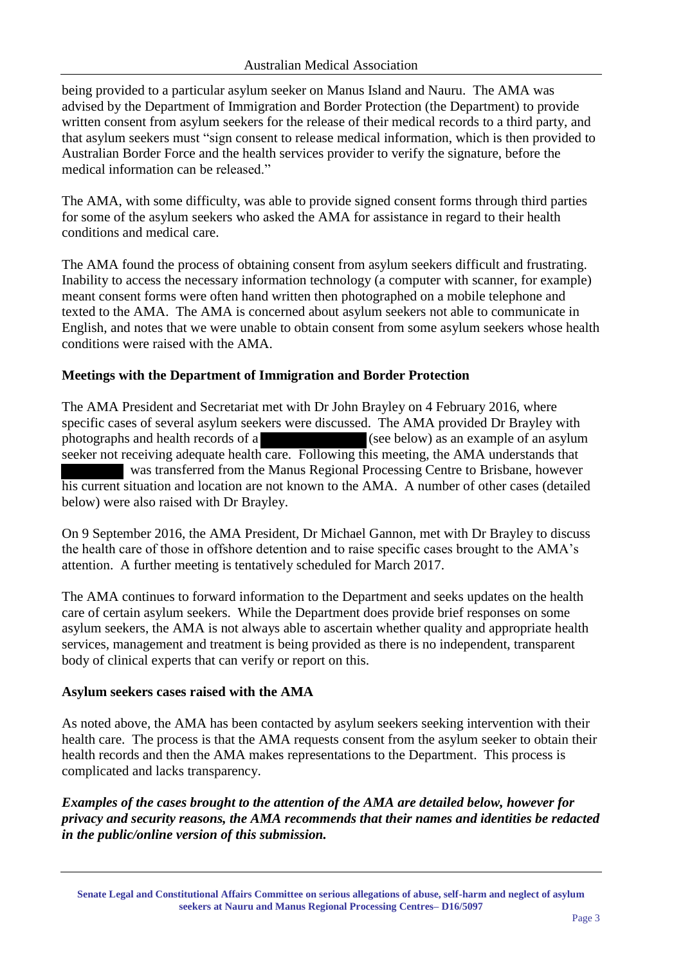being provided to a particular asylum seeker on Manus Island and Nauru. The AMA was advised by the Department of Immigration and Border Protection (the Department) to provide written consent from asylum seekers for the release of their medical records to a third party, and that asylum seekers must "sign consent to release medical information, which is then provided to Australian Border Force and the health services provider to verify the signature, before the medical information can be released."

The AMA, with some difficulty, was able to provide signed consent forms through third parties for some of the asylum seekers who asked the AMA for assistance in regard to their health conditions and medical care.

The AMA found the process of obtaining consent from asylum seekers difficult and frustrating. Inability to access the necessary information technology (a computer with scanner, for example) meant consent forms were often hand written then photographed on a mobile telephone and texted to the AMA. The AMA is concerned about asylum seekers not able to communicate in English, and notes that we were unable to obtain consent from some asylum seekers whose health conditions were raised with the AMA.

## **Meetings with the Department of Immigration and Border Protection**

The AMA President and Secretariat met with Dr John Brayley on 4 February 2016, where specific cases of several asylum seekers were discussed. The AMA provided Dr Brayley with photographs and health records of a (see below) as an example of an asylum seeker not receiving adequate health care. Following this meeting, the AMA understands that was transferred from the Manus Regional Processing Centre to Brisbane, however his current situation and location are not known to the AMA. A number of other cases (detailed below) were also raised with Dr Brayley.

On 9 September 2016, the AMA President, Dr Michael Gannon, met with Dr Brayley to discuss the health care of those in offshore detention and to raise specific cases brought to the AMA's attention. A further meeting is tentatively scheduled for March 2017.

The AMA continues to forward information to the Department and seeks updates on the health care of certain asylum seekers. While the Department does provide brief responses on some asylum seekers, the AMA is not always able to ascertain whether quality and appropriate health services, management and treatment is being provided as there is no independent, transparent body of clinical experts that can verify or report on this.

## **Asylum seekers cases raised with the AMA**

As noted above, the AMA has been contacted by asylum seekers seeking intervention with their health care. The process is that the AMA requests consent from the asylum seeker to obtain their health records and then the AMA makes representations to the Department. This process is complicated and lacks transparency.

*Examples of the cases brought to the attention of the AMA are detailed below, however for privacy and security reasons, the AMA recommends that their names and identities be redacted in the public/online version of this submission.*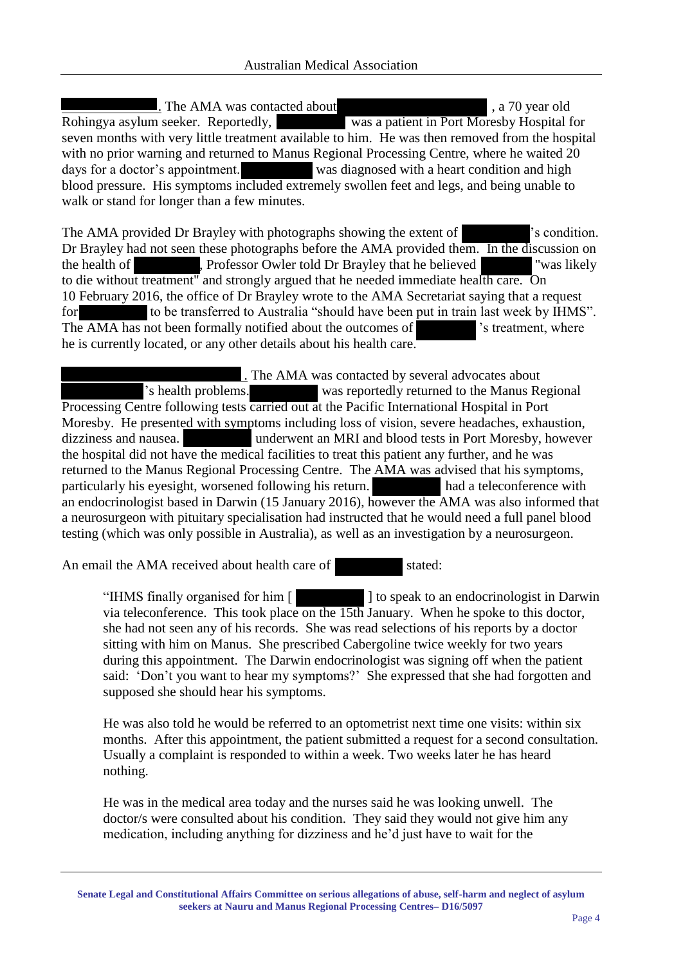. The AMA was contacted about , a 70 year old Rohingya asylum seeker. Reportedly, was a patient in Port Moresby Hospital for seven months with very little treatment available to him. He was then removed from the hospital with no prior warning and returned to Manus Regional Processing Centre, where he waited 20 days for a doctor's appointment. was diagnosed with a heart condition and high blood pressure. His symptoms included extremely swollen feet and legs, and being unable to walk or stand for longer than a few minutes.

The AMA provided Dr Brayley with photographs showing the extent of 's condition. Dr Brayley had not seen these photographs before the AMA provided them. In the discussion on the health of **F**, Professor Owler told Dr Brayley that he believed **T** was likely to die without treatment" and strongly argued that he needed immediate health care. On 10 February 2016, the office of Dr Brayley wrote to the AMA Secretariat saying that a request for to be transferred to Australia "should have been put in train last week by IHMS". The AMA has not been formally notified about the outcomes of  $\blacksquare$  's treatment, where he is currently located, or any other details about his health care.

 . The AMA was contacted by several advocates about 's health problems. was reportedly returned to the Manus Regional Processing Centre following tests carried out at the Pacific International Hospital in Port Moresby. He presented with symptoms including loss of vision, severe headaches, exhaustion, dizziness and nausea. underwent an MRI and blood tests in Port Moresby, however the hospital did not have the medical facilities to treat this patient any further, and he was returned to the Manus Regional Processing Centre. The AMA was advised that his symptoms, particularly his eyesight, worsened following his return. had a teleconference with an endocrinologist based in Darwin (15 January 2016), however the AMA was also informed that a neurosurgeon with pituitary specialisation had instructed that he would need a full panel blood testing (which was only possible in Australia), as well as an investigation by a neurosurgeon.

An email the AMA received about health care of stated:

"IHMS finally organised for him [ ] to speak to an endocrinologist in Darwin via teleconference. This took place on the 15th January. When he spoke to this doctor, she had not seen any of his records. She was read selections of his reports by a doctor sitting with him on Manus. She prescribed Cabergoline twice weekly for two years during this appointment. The Darwin endocrinologist was signing off when the patient said: 'Don't you want to hear my symptoms?' She expressed that she had forgotten and supposed she should hear his symptoms.

He was also told he would be referred to an optometrist next time one visits: within six months. After this appointment, the patient submitted a request for a second consultation. Usually a complaint is responded to within a week. Two weeks later he has heard nothing.

He was in the medical area today and the nurses said he was looking unwell. The doctor/s were consulted about his condition. They said they would not give him any medication, including anything for dizziness and he'd just have to wait for the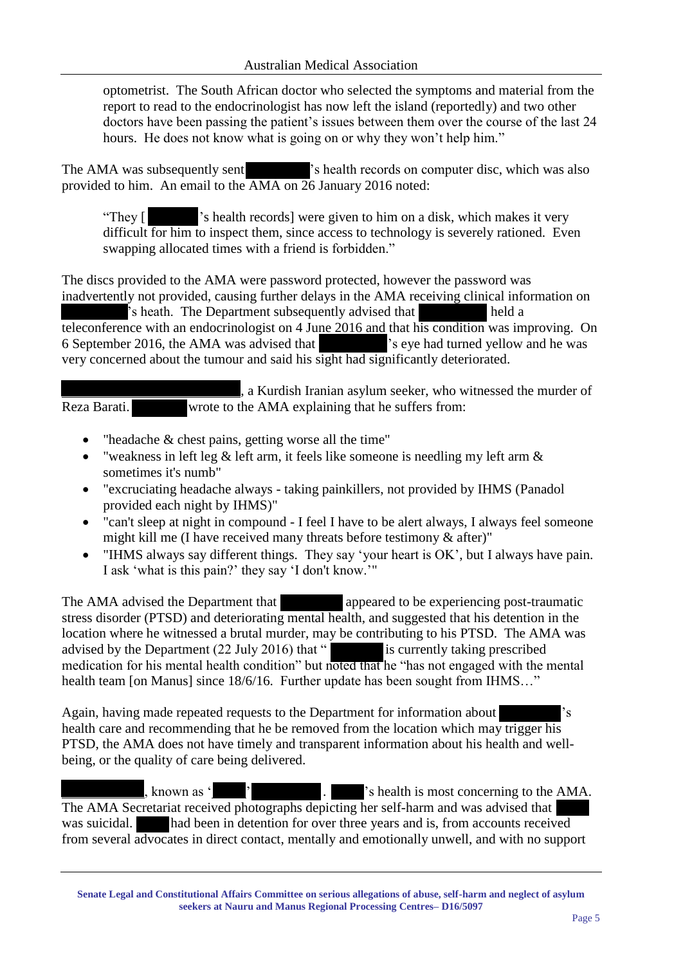optometrist. The South African doctor who selected the symptoms and material from the report to read to the endocrinologist has now left the island (reportedly) and two other doctors have been passing the patient's issues between them over the course of the last 24 hours. He does not know what is going on or why they won't help him."

The AMA was subsequently sent <sup>'s</sup> health records on computer disc, which was also provided to him. An email to the AMA on 26 January 2016 noted:

"They [ 's health records] were given to him on a disk, which makes it very difficult for him to inspect them, since access to technology is severely rationed. Even swapping allocated times with a friend is forbidden."

The discs provided to the AMA were password protected, however the password was inadvertently not provided, causing further delays in the AMA receiving clinical information on 's heath. The Department subsequently advised that held a teleconference with an endocrinologist on 4 June 2016 and that his condition was improving. On 6 September 2016, the AMA was advised that 's eye had turned yellow and he was very concerned about the tumour and said his sight had significantly deteriorated.

 , a Kurdish Iranian asylum seeker, who witnessed the murder of Reza Barati. wrote to the AMA explaining that he suffers from:

- "headache & chest pains, getting worse all the time"
- "weakness in left leg  $\&$  left arm, it feels like someone is needling my left arm  $\&$ sometimes it's numb"
- "excruciating headache always taking painkillers, not provided by IHMS (Panadol provided each night by IHMS)"
- "can't sleep at night in compound I feel I have to be alert always, I always feel someone might kill me (I have received many threats before testimony & after)"
- "IHMS always say different things. They say 'your heart is OK', but I always have pain. I ask 'what is this pain?' they say 'I don't know.'"

The AMA advised the Department that appeared to be experiencing post-traumatic stress disorder (PTSD) and deteriorating mental health, and suggested that his detention in the location where he witnessed a brutal murder, may be contributing to his PTSD. The AMA was advised by the Department (22 July 2016) that " is currently taking prescribed medication for his mental health condition" but noted that he "has not engaged with the mental health team [on Manus] since 18/6/16. Further update has been sought from IHMS..."

Again, having made repeated requests to the Department for information about 's health care and recommending that he be removed from the location which may trigger his PTSD, the AMA does not have timely and transparent information about his health and wellbeing, or the quality of care being delivered.

, known as '\end{sin}{2}} \cnumb{\sigma\_{\sigma\_{\sigma\_{\sigma\_{\sigma\_{\sigma\_{\sigma\_{\sigma\_{\sigma\_{\sigma\_{\sigma\_{\sigma\_{\sigma\_{\sigma\_{\sigma\_{\sigma\_{\sigma\_{\sigma\_{\sigma\_{\sigma\_{\sigma\_{\sigma\_{\sigma\_{\sigm The AMA Secretariat received photographs depicting her self-harm and was advised that was suicidal. had been in detention for over three years and is, from accounts received from several advocates in direct contact, mentally and emotionally unwell, and with no support

**Senate Legal and Constitutional Affairs Committee on serious allegations of abuse, self-harm and neglect of asylum seekers at Nauru and Manus Regional Processing Centres– D16/5097**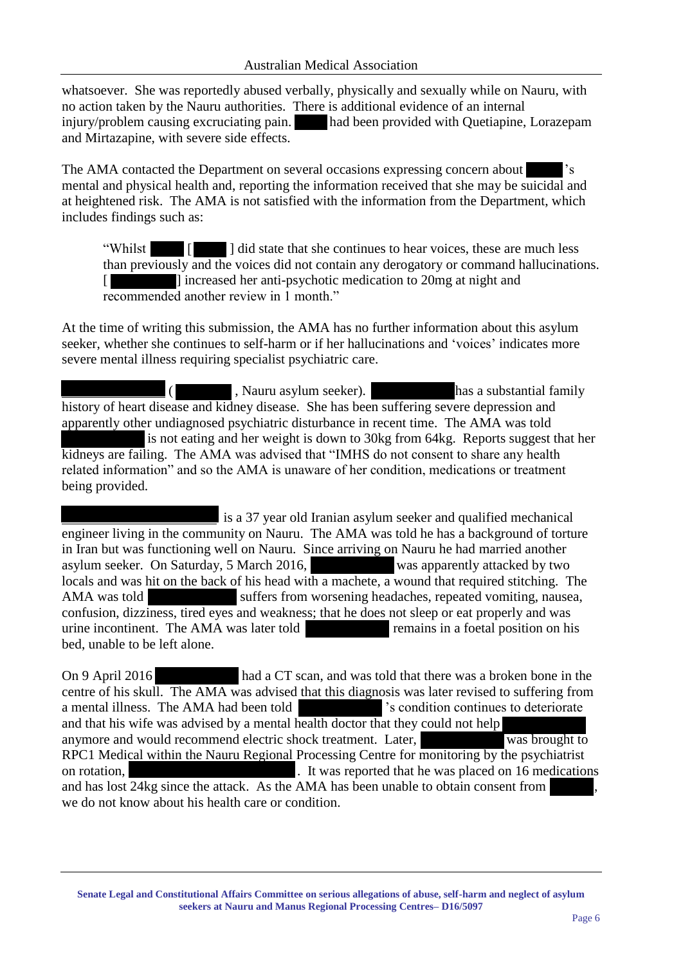whatsoever. She was reportedly abused verbally, physically and sexually while on Nauru, with no action taken by the Nauru authorities. There is additional evidence of an internal injury/problem causing excruciating pain. had been provided with Quetiapine, Lorazepam and Mirtazapine, with severe side effects.

The AMA contacted the Department on several occasions expressing concern about 's mental and physical health and, reporting the information received that she may be suicidal and at heightened risk. The AMA is not satisfied with the information from the Department, which includes findings such as:

"Whilst  $\begin{bmatrix} \blacksquare \end{bmatrix}$  did state that she continues to hear voices, these are much less than previously and the voices did not contain any derogatory or command hallucinations. [ ] increased her anti-psychotic medication to 20mg at night and recommended another review in 1 month."

At the time of writing this submission, the AMA has no further information about this asylum seeker, whether she continues to self-harm or if her hallucinations and 'voices' indicates more severe mental illness requiring specialist psychiatric care.

( , Nauru asylum seeker). has a substantial family history of heart disease and kidney disease. She has been suffering severe depression and apparently other undiagnosed psychiatric disturbance in recent time. The AMA was told is not eating and her weight is down to 30kg from 64kg. Reports suggest that her kidneys are failing. The AMA was advised that "IMHS do not consent to share any health related information" and so the AMA is unaware of her condition, medications or treatment being provided.

 is a 37 year old Iranian asylum seeker and qualified mechanical engineer living in the community on Nauru. The AMA was told he has a background of torture in Iran but was functioning well on Nauru. Since arriving on Nauru he had married another asylum seeker. On Saturday, 5 March 2016, was apparently attacked by two locals and was hit on the back of his head with a machete, a wound that required stitching. The AMA was told suffers from worsening headaches, repeated vomiting, nausea, confusion, dizziness, tired eyes and weakness; that he does not sleep or eat properly and was urine incontinent. The AMA was later told remains in a foetal position on his bed, unable to be left alone.

On 9 April 2016 had a CT scan, and was told that there was a broken bone in the centre of his skull. The AMA was advised that this diagnosis was later revised to suffering from a mental illness. The AMA had been told 's condition continues to deteriorate and that his wife was advised by a mental health doctor that they could not help anymore and would recommend electric shock treatment. Later, was brought to RPC1 Medical within the Nauru Regional Processing Centre for monitoring by the psychiatrist on rotation, **If was reported that he was placed on 16 medications** and has lost 24kg since the attack. As the AMA has been unable to obtain consent from we do not know about his health care or condition.

**Senate Legal and Constitutional Affairs Committee on serious allegations of abuse, self-harm and neglect of asylum seekers at Nauru and Manus Regional Processing Centres– D16/5097**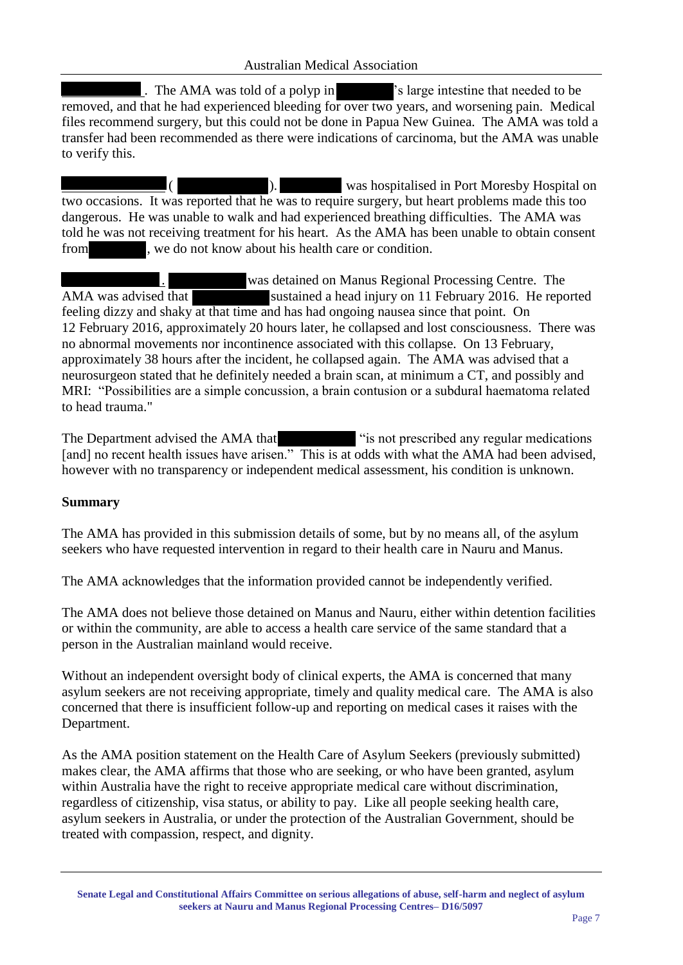. The AMA was told of a polyp in 's large intestine that needed to be removed, and that he had experienced bleeding for over two years, and worsening pain. Medical files recommend surgery, but this could not be done in Papua New Guinea. The AMA was told a transfer had been recommended as there were indications of carcinoma, but the AMA was unable to verify this.

 ( ). was hospitalised in Port Moresby Hospital on two occasions. It was reported that he was to require surgery, but heart problems made this too dangerous. He was unable to walk and had experienced breathing difficulties. The AMA was told he was not receiving treatment for his heart. As the AMA has been unable to obtain consent from , we do not know about his health care or condition.

was detained on Manus Regional Processing Centre. The AMA was advised that sustained a head injury on 11 February 2016. He reported feeling dizzy and shaky at that time and has had ongoing nausea since that point. On 12 February 2016, approximately 20 hours later, he collapsed and lost consciousness. There was no abnormal movements nor incontinence associated with this collapse. On 13 February, approximately 38 hours after the incident, he collapsed again. The AMA was advised that a neurosurgeon stated that he definitely needed a brain scan, at minimum a CT, and possibly and MRI: "Possibilities are a simple concussion, a brain contusion or a subdural haematoma related to head trauma."

The Department advised the AMA that "is not prescribed any regular medications" [and] no recent health issues have arisen." This is at odds with what the AMA had been advised, however with no transparency or independent medical assessment, his condition is unknown.

# **Summary**

The AMA has provided in this submission details of some, but by no means all, of the asylum seekers who have requested intervention in regard to their health care in Nauru and Manus.

The AMA acknowledges that the information provided cannot be independently verified.

The AMA does not believe those detained on Manus and Nauru, either within detention facilities or within the community, are able to access a health care service of the same standard that a person in the Australian mainland would receive.

Without an independent oversight body of clinical experts, the AMA is concerned that many asylum seekers are not receiving appropriate, timely and quality medical care. The AMA is also concerned that there is insufficient follow-up and reporting on medical cases it raises with the Department.

As the AMA position statement on the Health Care of Asylum Seekers (previously submitted) makes clear, the AMA affirms that those who are seeking, or who have been granted, asylum within Australia have the right to receive appropriate medical care without discrimination, regardless of citizenship, visa status, or ability to pay. Like all people seeking health care, asylum seekers in Australia, or under the protection of the Australian Government, should be treated with compassion, respect, and dignity.

**Senate Legal and Constitutional Affairs Committee on serious allegations of abuse, self-harm and neglect of asylum seekers at Nauru and Manus Regional Processing Centres– D16/5097**